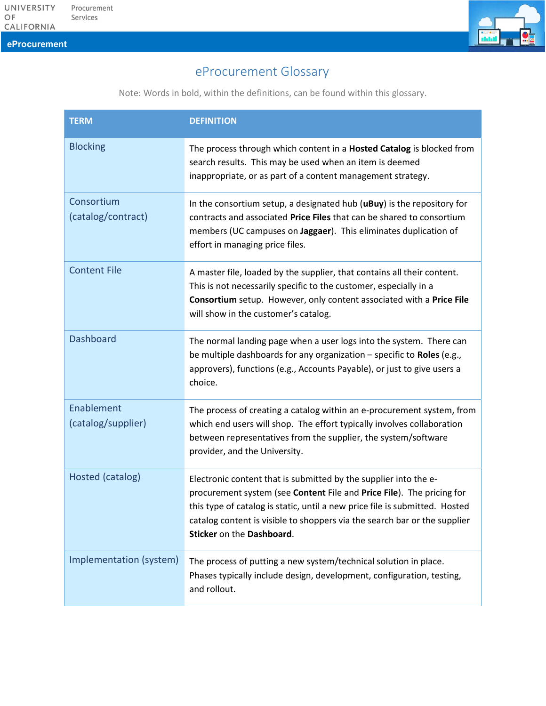eProcurement

## eProcurement Glossary

Note: Words in bold, within the definitions, can be found within this glossary.

| <b>TERM</b>                      | <b>DEFINITION</b>                                                                                                                                                                                                                                                                                                                  |
|----------------------------------|------------------------------------------------------------------------------------------------------------------------------------------------------------------------------------------------------------------------------------------------------------------------------------------------------------------------------------|
| <b>Blocking</b>                  | The process through which content in a Hosted Catalog is blocked from<br>search results. This may be used when an item is deemed<br>inappropriate, or as part of a content management strategy.                                                                                                                                    |
| Consortium<br>(catalog/contract) | In the consortium setup, a designated hub (uBuy) is the repository for<br>contracts and associated Price Files that can be shared to consortium<br>members (UC campuses on Jaggaer). This eliminates duplication of<br>effort in managing price files.                                                                             |
| <b>Content File</b>              | A master file, loaded by the supplier, that contains all their content.<br>This is not necessarily specific to the customer, especially in a<br>Consortium setup. However, only content associated with a Price File<br>will show in the customer's catalog.                                                                       |
| <b>Dashboard</b>                 | The normal landing page when a user logs into the system. There can<br>be multiple dashboards for any organization $-$ specific to Roles (e.g.,<br>approvers), functions (e.g., Accounts Payable), or just to give users a<br>choice.                                                                                              |
| Enablement<br>(catalog/supplier) | The process of creating a catalog within an e-procurement system, from<br>which end users will shop. The effort typically involves collaboration<br>between representatives from the supplier, the system/software<br>provider, and the University.                                                                                |
| Hosted (catalog)                 | Electronic content that is submitted by the supplier into the e-<br>procurement system (see Content File and Price File). The pricing for<br>this type of catalog is static, until a new price file is submitted. Hosted<br>catalog content is visible to shoppers via the search bar or the supplier<br>Sticker on the Dashboard. |
| Implementation (system)          | The process of putting a new system/technical solution in place.<br>Phases typically include design, development, configuration, testing,<br>and rollout.                                                                                                                                                                          |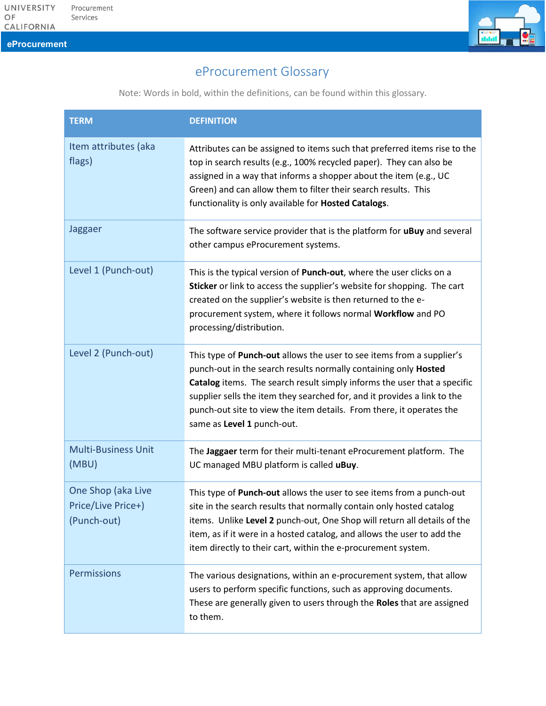eProcurement

## eProcurement Glossary

Note: Words in bold, within the definitions, can be found within this glossary.

| <b>TERM</b>                                             | <b>DEFINITION</b>                                                                                                                                                                                                                                                                                                                                                                                      |
|---------------------------------------------------------|--------------------------------------------------------------------------------------------------------------------------------------------------------------------------------------------------------------------------------------------------------------------------------------------------------------------------------------------------------------------------------------------------------|
| Item attributes (aka<br>flags)                          | Attributes can be assigned to items such that preferred items rise to the<br>top in search results (e.g., 100% recycled paper). They can also be<br>assigned in a way that informs a shopper about the item (e.g., UC<br>Green) and can allow them to filter their search results. This<br>functionality is only available for Hosted Catalogs.                                                        |
| Jaggaer                                                 | The software service provider that is the platform for uBuy and several<br>other campus eProcurement systems.                                                                                                                                                                                                                                                                                          |
| Level 1 (Punch-out)                                     | This is the typical version of Punch-out, where the user clicks on a<br>Sticker or link to access the supplier's website for shopping. The cart<br>created on the supplier's website is then returned to the e-<br>procurement system, where it follows normal Workflow and PO<br>processing/distribution.                                                                                             |
| Level 2 (Punch-out)                                     | This type of Punch-out allows the user to see items from a supplier's<br>punch-out in the search results normally containing only Hosted<br>Catalog items. The search result simply informs the user that a specific<br>supplier sells the item they searched for, and it provides a link to the<br>punch-out site to view the item details. From there, it operates the<br>same as Level 1 punch-out. |
| <b>Multi-Business Unit</b><br>(MBU)                     | The Jaggaer term for their multi-tenant eProcurement platform. The<br>UC managed MBU platform is called uBuy.                                                                                                                                                                                                                                                                                          |
| One Shop (aka Live<br>Price/Live Price+)<br>(Punch-out) | This type of Punch-out allows the user to see items from a punch-out<br>site in the search results that normally contain only hosted catalog<br>items. Unlike Level 2 punch-out, One Shop will return all details of the<br>item, as if it were in a hosted catalog, and allows the user to add the<br>item directly to their cart, within the e-procurement system.                                   |
| Permissions                                             | The various designations, within an e-procurement system, that allow<br>users to perform specific functions, such as approving documents.<br>These are generally given to users through the Roles that are assigned<br>to them.                                                                                                                                                                        |